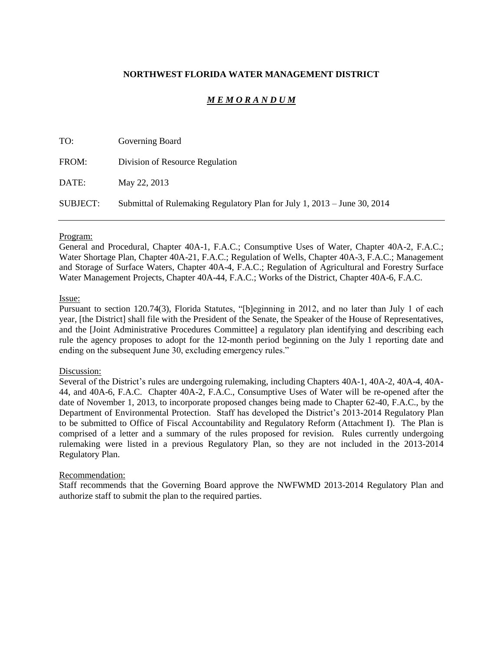## **NORTHWEST FLORIDA WATER MANAGEMENT DISTRICT**

## *M E M O R A N D U M*

| TO:      | Governing Board                                                            |
|----------|----------------------------------------------------------------------------|
| FROM:    | Division of Resource Regulation                                            |
| DATE:    | May 22, 2013                                                               |
| SUBJECT: | Submittal of Rulemaking Regulatory Plan for July $1, 2013 -$ June 30, 2014 |

## Program:

General and Procedural, Chapter 40A-1, F.A.C.; Consumptive Uses of Water, Chapter 40A-2, F.A.C.; Water Shortage Plan, Chapter 40A-21, F.A.C.; Regulation of Wells, Chapter 40A-3, F.A.C.; Management and Storage of Surface Waters, Chapter 40A-4, F.A.C.; Regulation of Agricultural and Forestry Surface Water Management Projects, Chapter 40A-44, F.A.C.; Works of the District, Chapter 40A-6, F.A.C.

### Issue:

Pursuant to section 120.74(3), Florida Statutes, "[b]eginning in 2012, and no later than July 1 of each year, [the District] shall file with the President of the Senate, the Speaker of the House of Representatives, and the [Joint Administrative Procedures Committee] a regulatory plan identifying and describing each rule the agency proposes to adopt for the 12-month period beginning on the July 1 reporting date and ending on the subsequent June 30, excluding emergency rules."

#### Discussion:

Several of the District's rules are undergoing rulemaking, including Chapters 40A-1, 40A-2, 40A-4, 40A-44, and 40A-6, F.A.C. Chapter 40A-2, F.A.C., Consumptive Uses of Water will be re-opened after the date of November 1, 2013, to incorporate proposed changes being made to Chapter 62-40, F.A.C., by the Department of Environmental Protection. Staff has developed the District's 2013-2014 Regulatory Plan to be submitted to Office of Fiscal Accountability and Regulatory Reform (Attachment I). The Plan is comprised of a letter and a summary of the rules proposed for revision. Rules currently undergoing rulemaking were listed in a previous Regulatory Plan, so they are not included in the 2013-2014 Regulatory Plan.

## Recommendation:

Staff recommends that the Governing Board approve the NWFWMD 2013-2014 Regulatory Plan and authorize staff to submit the plan to the required parties.